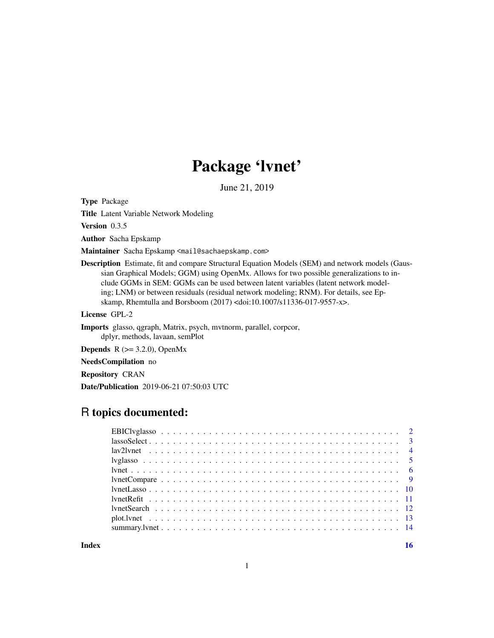## Package 'lvnet'

June 21, 2019

<span id="page-0-0"></span>Type Package

Title Latent Variable Network Modeling

Version 0.3.5

Author Sacha Epskamp

Maintainer Sacha Epskamp <mail@sachaepskamp.com>

Description Estimate, fit and compare Structural Equation Models (SEM) and network models (Gaussian Graphical Models; GGM) using OpenMx. Allows for two possible generalizations to include GGMs in SEM: GGMs can be used between latent variables (latent network modeling; LNM) or between residuals (residual network modeling; RNM). For details, see Epskamp, Rhemtulla and Borsboom (2017) <doi:10.1007/s11336-017-9557-x>.

License GPL-2

Imports glasso, qgraph, Matrix, psych, mvtnorm, parallel, corpcor, dplyr, methods, lavaan, semPlot

**Depends** R  $(>= 3.2.0)$ , OpenMx

NeedsCompilation no

Repository CRAN

Date/Publication 2019-06-21 07:50:03 UTC

## R topics documented:

**Index** and the contract of the contract of the contract of the contract of the contract of the contract of the contract of the contract of the contract of the contract of the contract of the contract of the contract of th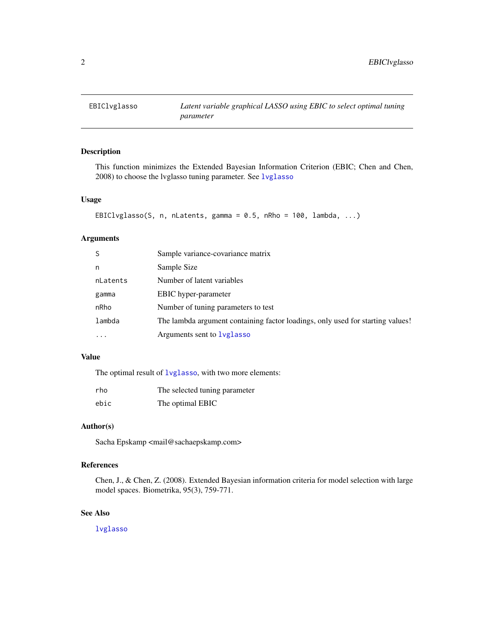<span id="page-1-1"></span><span id="page-1-0"></span>

#### Description

This function minimizes the Extended Bayesian Information Criterion (EBIC; Chen and Chen, 2008) to choose the lvglasso tuning parameter. See [lvglasso](#page-4-1)

## Usage

```
EBIClvglasso(S, n, nLatents, gamma = 0.5, nRho = 100, lambda, ...)
```
## Arguments

| S        | Sample variance-covariance matrix                                              |
|----------|--------------------------------------------------------------------------------|
| n        | Sample Size                                                                    |
| nLatents | Number of latent variables                                                     |
| gamma    | <b>EBIC</b> hyper-parameter                                                    |
| nRho     | Number of tuning parameters to test                                            |
| lambda   | The lambda argument containing factor loadings, only used for starting values! |
|          | Arguments sent to <b>l</b> yglasso                                             |

#### Value

The optimal result of lyglasso, with two more elements:

| rho. | The selected tuning parameter |
|------|-------------------------------|
| ebic | The optimal EBIC              |

#### Author(s)

Sacha Epskamp <mail@sachaepskamp.com>

## References

Chen, J., & Chen, Z. (2008). Extended Bayesian information criteria for model selection with large model spaces. Biometrika, 95(3), 759-771.

## See Also

[lvglasso](#page-4-1)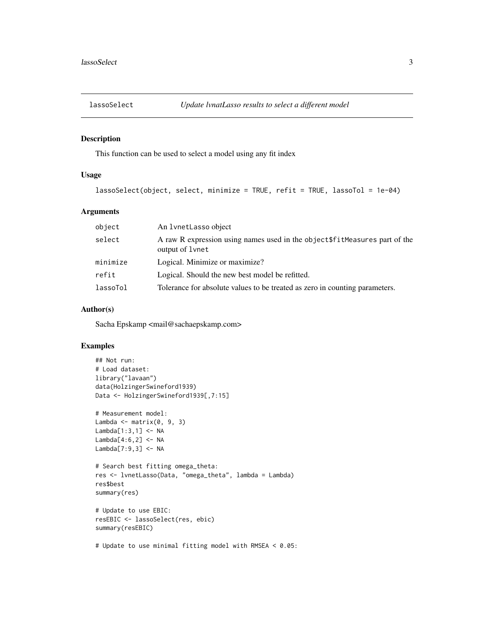<span id="page-2-1"></span><span id="page-2-0"></span>

#### Description

This function can be used to select a model using any fit index

#### Usage

```
lassoSelect(object, select, minimize = TRUE, refit = TRUE, lassoTol = 1e-04)
```
## Arguments

| object   | An 1vnetLasso object                                                                            |
|----------|-------------------------------------------------------------------------------------------------|
| select   | A raw R expression using names used in the object \$fitMeasures part of the<br>output of 1 vnet |
| minimize | Logical. Minimize or maximize?                                                                  |
| refit    | Logical. Should the new best model be refitted.                                                 |
| lassoTol | Tolerance for absolute values to be treated as zero in counting parameters.                     |
|          |                                                                                                 |

#### Author(s)

Sacha Epskamp <mail@sachaepskamp.com>

## Examples

```
## Not run:
# Load dataset:
library("lavaan")
data(HolzingerSwineford1939)
Data <- HolzingerSwineford1939[,7:15]
# Measurement model:
Lambda \leq matrix(0, 9, 3)
Lambda[1:3,1] <- NA
Lambda[4:6,2] <- NA
Lambda[7:9,3] <- NA
# Search best fitting omega_theta:
res <- lvnetLasso(Data, "omega_theta", lambda = Lambda)
res$best
summary(res)
# Update to use EBIC:
resEBIC <- lassoSelect(res, ebic)
summary(resEBIC)
# Update to use minimal fitting model with RMSEA < 0.05:
```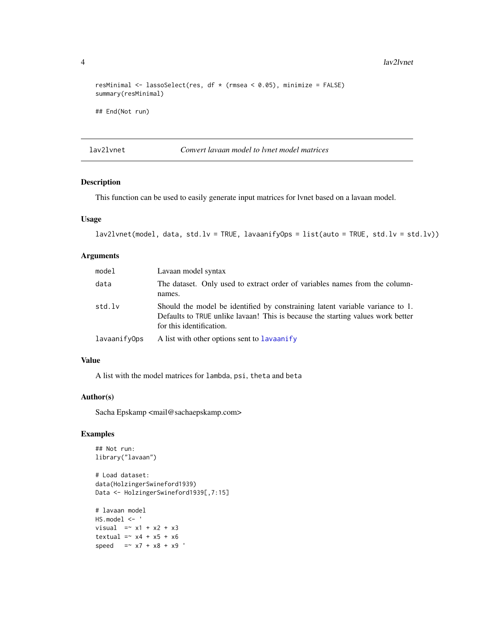<span id="page-3-0"></span>4 lav2lvnet and the state of the state of the state of the state of the state of the state of the state of the state of the state of the state of the state of the state of the state of the state of the state of the state o

```
resMinimal <- lassoSelect(res, df * (rmsea < 0.05), minimize = FALSE)
summary(resMinimal)
## End(Not run)
```
lav2lvnet *Convert lavaan model to lvnet model matrices*

#### Description

This function can be used to easily generate input matrices for lvnet based on a lavaan model.

#### Usage

```
lav2lvnet(model, data, std.lv = TRUE, lavaanifyOps = list(auto = TRUE, std.lv = std.lv))
```
#### Arguments

| model        | Lavaan model syntax                                                                                                                                                                          |
|--------------|----------------------------------------------------------------------------------------------------------------------------------------------------------------------------------------------|
| data         | The dataset. Only used to extract order of variables names from the column-<br>names.                                                                                                        |
| std.lv       | Should the model be identified by constraining latent variable variance to 1.<br>Defaults to TRUE unlike lavaan! This is because the starting values work better<br>for this identification. |
| lavaanifyOps | A list with other options sent to lavaanify                                                                                                                                                  |

#### Value

A list with the model matrices for lambda, psi, theta and beta

#### Author(s)

Sacha Epskamp <mail@sachaepskamp.com>

#### Examples

```
## Not run:
library("lavaan")
```
# Load dataset: data(HolzingerSwineford1939) Data <- HolzingerSwineford1939[,7:15]

```
# lavaan model
HS.model <- '
visual = x1 + x2 + x3textual = x4 + x5 + x6speed = x7 + x8 + x9
```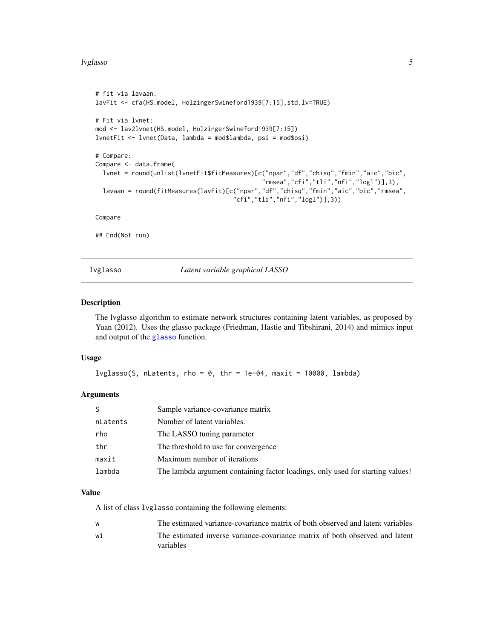#### <span id="page-4-0"></span>lvglasso 5

```
# fit via lavaan:
lavFit <- cfa(HS.model, HolzingerSwineford1939[7:15],std.lv=TRUE)
# Fit via lvnet:
mod <- lav2lvnet(HS.model, HolzingerSwineford1939[7:15])
lvnetFit <- lvnet(Data, lambda = mod$lambda, psi = mod$psi)
# Compare:
Compare <- data.frame(
  lvnet = round(unlist(lvnetFit$fitMeasures)[c("npar","df","chisq","fmin","aic","bic",
                                               "rmsea","cfi","tli","nfi","logl")],3),
  lavaan = round(fitMeasures(lavFit)[c("npar","df","chisq","fmin","aic","bic","rmsea",
                                       "cfi","tli","nfi","logl")],3))
Compare
## End(Not run)
```
<span id="page-4-1"></span>lvglasso *Latent variable graphical LASSO*

#### Description

The lvglasso algorithm to estimate network structures containing latent variables, as proposed by Yuan (2012). Uses the glasso package (Friedman, Hastie and Tibshirani, 2014) and mimics input and output of the [glasso](#page-0-0) function.

#### Usage

```
lvglasso(S, nLatents, rho = 0, thr = 1e-04, maxit = 10000, lambda)
```
## Arguments

| -S       | Sample variance-covariance matrix                                              |
|----------|--------------------------------------------------------------------------------|
| nLatents | Number of latent variables.                                                    |
| rho      | The LASSO tuning parameter                                                     |
| thr      | The threshold to use for convergence                                           |
| maxit    | Maximum number of iterations                                                   |
| lambda   | The lambda argument containing factor loadings, only used for starting values! |

#### Value

A list of class lvglasso containing the following elements:

| w  | The estimated variance-covariance matrix of both observed and latent variables |
|----|--------------------------------------------------------------------------------|
| wi | The estimated inverse variance-covariance matrix of both observed and latent   |
|    | variables                                                                      |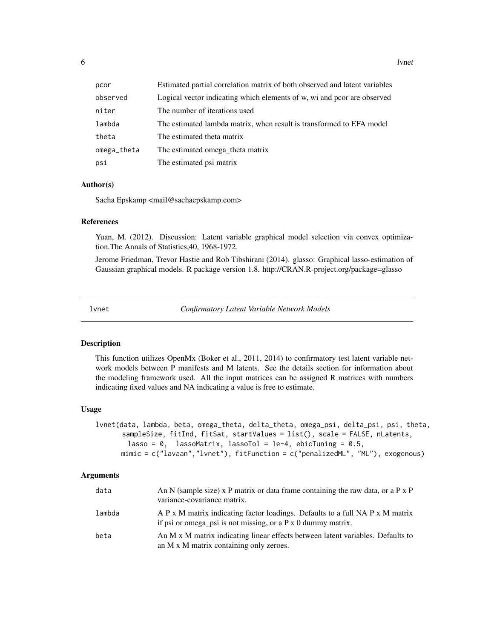<span id="page-5-0"></span>

| pcor        | Estimated partial correlation matrix of both observed and latent variables |
|-------------|----------------------------------------------------------------------------|
| observed    | Logical vector indicating which elements of w, wi and pcor are observed    |
| niter       | The number of iterations used                                              |
| lambda      | The estimated lambda matrix, when result is transformed to EFA model       |
| theta       | The estimated theta matrix                                                 |
| omega_theta | The estimated omega_theta matrix                                           |
| psi         | The estimated psi matrix                                                   |

#### Author(s)

Sacha Epskamp <mail@sachaepskamp.com>

#### References

Yuan, M. (2012). Discussion: Latent variable graphical model selection via convex optimization.The Annals of Statistics,40, 1968-1972.

Jerome Friedman, Trevor Hastie and Rob Tibshirani (2014). glasso: Graphical lasso-estimation of Gaussian graphical models. R package version 1.8. http://CRAN.R-project.org/package=glasso

<span id="page-5-1"></span>

lvnet *Confirmatory Latent Variable Network Models*

#### Description

This function utilizes OpenMx (Boker et al., 2011, 2014) to confirmatory test latent variable network models between P manifests and M latents. See the details section for information about the modeling framework used. All the input matrices can be assigned R matrices with numbers indicating fixed values and NA indicating a value is free to estimate.

#### Usage

lvnet(data, lambda, beta, omega\_theta, delta\_theta, omega\_psi, delta\_psi, psi, theta, sampleSize, fitInd, fitSat, startValues = list(), scale = FALSE, nLatents, lasso =  $0$ , lassoMatrix, lassoTol = 1e-4, ebicTuning =  $0.5$ , mimic = c("lavaan","lvnet"), fitFunction = c("penalizedML", "ML"), exogenous)

#### Arguments

| data   | An N (sample size) x P matrix or data frame containing the raw data, or a P $\bar{x}$ P<br>variance-covariance matrix.                               |
|--------|------------------------------------------------------------------------------------------------------------------------------------------------------|
| lambda | A P x M matrix indicating factor loadings. Defaults to a full NA P x M matrix<br>if psi or omega psi is not missing, or a $P \times 0$ dummy matrix. |
| beta   | An M x M matrix indicating linear effects between latent variables. Defaults to<br>an M x M matrix containing only zeroes.                           |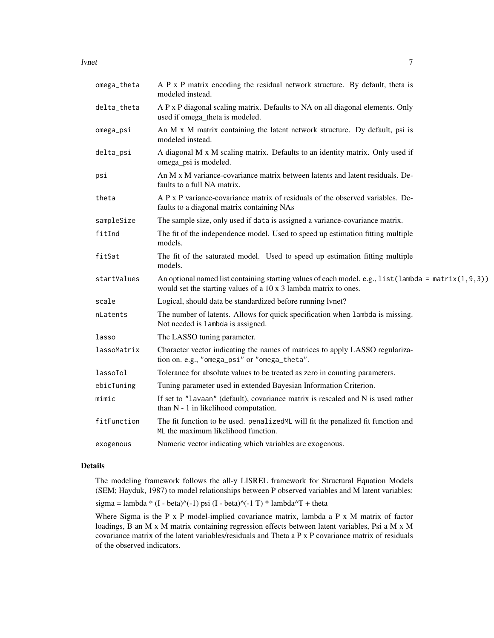lvnet 2008 - 2008 - 2008 - 2008 - 2008 - 2008 - 2008 - 2008 - 2008 - 2008 - 2008 - 2008 - 2008 - 2008 - 2008 -

| omega_theta | A P x P matrix encoding the residual network structure. By default, theta is<br>modeled instead.                                                                            |
|-------------|-----------------------------------------------------------------------------------------------------------------------------------------------------------------------------|
| delta_theta | A P x P diagonal scaling matrix. Defaults to NA on all diagonal elements. Only<br>used if omega_theta is modeled.                                                           |
| omega_psi   | An M x M matrix containing the latent network structure. Dy default, psi is<br>modeled instead.                                                                             |
| delta_psi   | A diagonal M x M scaling matrix. Defaults to an identity matrix. Only used if<br>omega_psi is modeled.                                                                      |
| psi         | An M x M variance-covariance matrix between latents and latent residuals. De-<br>faults to a full NA matrix.                                                                |
| theta       | A P x P variance-covariance matrix of residuals of the observed variables. De-<br>faults to a diagonal matrix containing NAs                                                |
| sampleSize  | The sample size, only used if data is assigned a variance-covariance matrix.                                                                                                |
| fitInd      | The fit of the independence model. Used to speed up estimation fitting multiple<br>models.                                                                                  |
| fitSat      | The fit of the saturated model. Used to speed up estimation fitting multiple<br>models.                                                                                     |
| startValues | An optional named list containing starting values of each model. e.g., $list(lambda = matrix(1, 9, 3))$<br>would set the starting values of a 10 x 3 lambda matrix to ones. |
| scale       | Logical, should data be standardized before running lynet?                                                                                                                  |
| nLatents    | The number of latents. Allows for quick specification when lambda is missing.<br>Not needed is lambda is assigned.                                                          |
| lasso       | The LASSO tuning parameter.                                                                                                                                                 |
| lassoMatrix | Character vector indicating the names of matrices to apply LASSO regulariza-<br>tion on. e.g., "omega_psi" or "omega_theta".                                                |
| lassoTol    | Tolerance for absolute values to be treated as zero in counting parameters.                                                                                                 |
| ebicTuning  | Tuning parameter used in extended Bayesian Information Criterion.                                                                                                           |
| mimic       | If set to "lavaan" (default), covariance matrix is rescaled and N is used rather<br>than $N - 1$ in likelihood computation.                                                 |
| fitFunction | The fit function to be used. penalizedML will fit the penalized fit function and<br>ML the maximum likelihood function.                                                     |
| exogenous   | Numeric vector indicating which variables are exogenous.                                                                                                                    |

## Details

The modeling framework follows the all-y LISREL framework for Structural Equation Models (SEM; Hayduk, 1987) to model relationships between P observed variables and M latent variables:

sigma = lambda \* (I - beta) $\land$ (-1) psi (I - beta) $\land$ (-1 T) \* lambda $\land$ T + theta

Where Sigma is the P x P model-implied covariance matrix, lambda a P x M matrix of factor loadings, B an M x M matrix containing regression effects between latent variables, Psi a M x M covariance matrix of the latent variables/residuals and Theta a P x P covariance matrix of residuals of the observed indicators.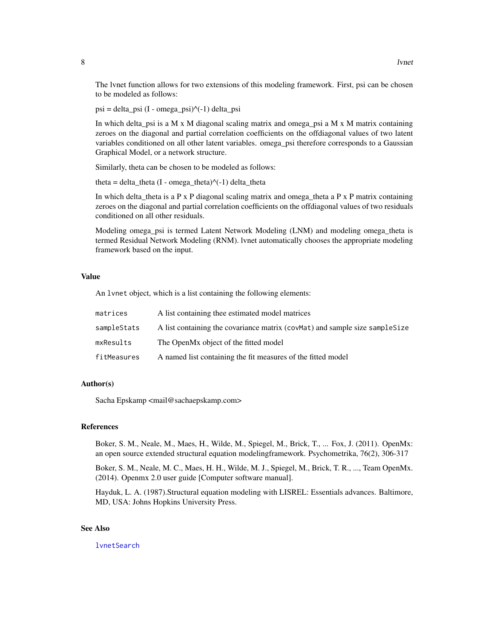<span id="page-7-0"></span>The lvnet function allows for two extensions of this modeling framework. First, psi can be chosen to be modeled as follows:

 $psi = delta$ psi (I - omega\_psi) $\land$ (-1) delta\_psi

In which delta\_psi is a M x M diagonal scaling matrix and omega\_psi a M x M matrix containing zeroes on the diagonal and partial correlation coefficients on the offdiagonal values of two latent variables conditioned on all other latent variables. omega\_psi therefore corresponds to a Gaussian Graphical Model, or a network structure.

Similarly, theta can be chosen to be modeled as follows:

theta = delta\_theta  $(I - \text{omega}_\text{at} + (I - I)$  delta\_theta

In which delta\_theta is a  $P \times P$  diagonal scaling matrix and omega\_theta a  $P \times P$  matrix containing zeroes on the diagonal and partial correlation coefficients on the offdiagonal values of two residuals conditioned on all other residuals.

Modeling omega\_psi is termed Latent Network Modeling (LNM) and modeling omega\_theta is termed Residual Network Modeling (RNM). lvnet automatically chooses the appropriate modeling framework based on the input.

#### Value

An lvnet object, which is a list containing the following elements:

| matrices    | A list containing thee estimated model matrices                              |
|-------------|------------------------------------------------------------------------------|
| sampleStats | A list containing the covariance matrix (covMat) and sample size sample Size |
| mxResults   | The OpenMx object of the fitted model                                        |
| fitMeasures | A named list containing the fit measures of the fitted model                 |

#### Author(s)

Sacha Epskamp <mail@sachaepskamp.com>

#### References

Boker, S. M., Neale, M., Maes, H., Wilde, M., Spiegel, M., Brick, T., ... Fox, J. (2011). OpenMx: an open source extended structural equation modelingframework. Psychometrika, 76(2), 306-317

Boker, S. M., Neale, M. C., Maes, H. H., Wilde, M. J., Spiegel, M., Brick, T. R., ..., Team OpenMx. (2014). Openmx 2.0 user guide [Computer software manual].

Hayduk, L. A. (1987).Structural equation modeling with LISREL: Essentials advances. Baltimore, MD, USA: Johns Hopkins University Press.

#### See Also

**[lvnetSearch](#page-11-1)**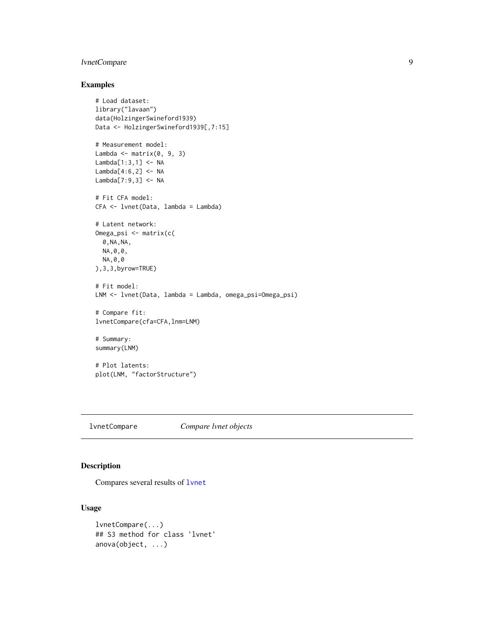## <span id="page-8-0"></span>lvnetCompare 9

#### Examples

```
# Load dataset:
library("lavaan")
data(HolzingerSwineford1939)
Data <- HolzingerSwineford1939[,7:15]
# Measurement model:
Lambda \leq matrix(0, 9, 3)
Lambda[1:3,1] <- NA
Lambda[4:6,2] <- NA
Lambda[7:9,3] <- NA
# Fit CFA model:
CFA <- lvnet(Data, lambda = Lambda)
# Latent network:
Omega_psi <- matrix(c(
  0,NA,NA,
  NA,0,0,
 NA,0,0
),3,3,byrow=TRUE)
# Fit model:
LNM <- lvnet(Data, lambda = Lambda, omega_psi=Omega_psi)
# Compare fit:
lvnetCompare(cfa=CFA,lnm=LNM)
# Summary:
summary(LNM)
# Plot latents:
plot(LNM, "factorStructure")
```
lvnetCompare *Compare lvnet objects*

## Description

Compares several results of [lvnet](#page-5-1)

#### Usage

```
lvnetCompare(...)
## S3 method for class 'lvnet'
anova(object, ...)
```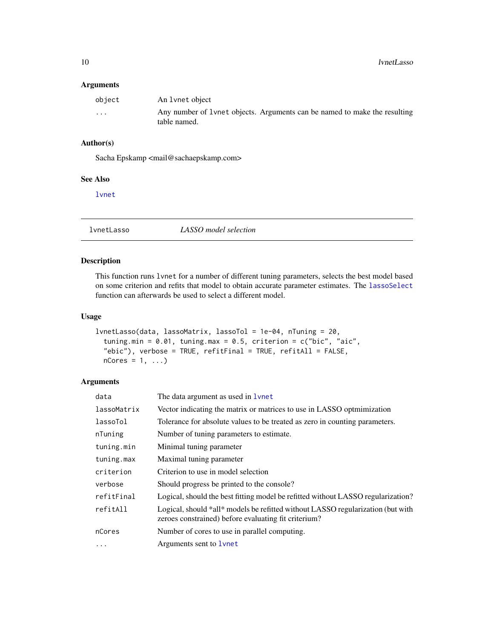#### <span id="page-9-0"></span>Arguments

| obiect   | An 1 vnet object                                                                           |
|----------|--------------------------------------------------------------------------------------------|
| $\cdots$ | Any number of 1 vnet objects. Arguments can be named to make the resulting<br>table named. |

## Author(s)

Sacha Epskamp <mail@sachaepskamp.com>

#### See Also

[lvnet](#page-5-1)

lvnetLasso *LASSO model selection*

## Description

This function runs lvnet for a number of different tuning parameters, selects the best model based on some criterion and refits that model to obtain accurate parameter estimates. The [lassoSelect](#page-2-1) function can afterwards be used to select a different model.

#### Usage

```
lvnetLasso(data, lassoMatrix, lassoTol = 1e-04, nTuning = 20,
  tuning.min = 0.01, tuning.max = 0.5, criterion = c("bic", "aic","ebic"), verbose = TRUE, refitFinal = TRUE, refitAll = FALSE,
 nCores = 1, ...
```
## Arguments

| data        | The data argument as used in <b>lynet</b>                                                                                               |  |
|-------------|-----------------------------------------------------------------------------------------------------------------------------------------|--|
| lassoMatrix | Vector indicating the matrix or matrices to use in LASSO optmimization                                                                  |  |
| lassoTol    | Tolerance for absolute values to be treated as zero in counting parameters.                                                             |  |
| nTuning     | Number of tuning parameters to estimate.                                                                                                |  |
| tuning.min  | Minimal tuning parameter                                                                                                                |  |
| tuning.max  | Maximal tuning parameter                                                                                                                |  |
| criterion   | Criterion to use in model selection                                                                                                     |  |
| verbose     | Should progress be printed to the console?                                                                                              |  |
| refitFinal  | Logical, should the best fitting model be refitted without LASSO regularization?                                                        |  |
| refitAll    | Logical, should *all* models be refitted without LASSO regularization (but with<br>zeroes constrained) before evaluating fit criterium? |  |
| nCores      | Number of cores to use in parallel computing.                                                                                           |  |
| $\cdots$    | Arguments sent to <b>lynet</b>                                                                                                          |  |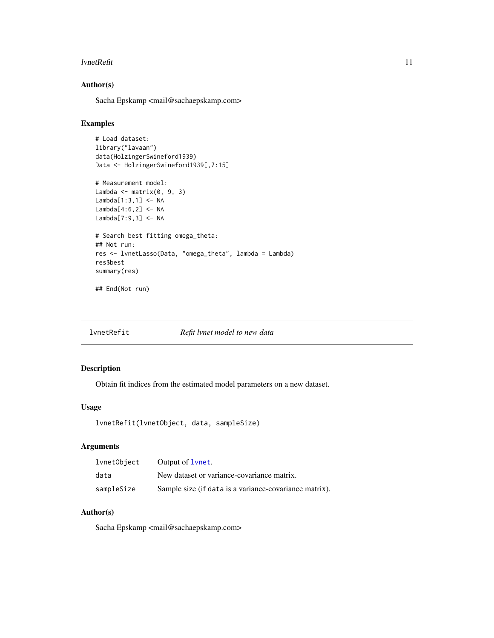#### <span id="page-10-0"></span>lvnetRefit 11

## Author(s)

Sacha Epskamp <mail@sachaepskamp.com>

## Examples

```
# Load dataset:
library("lavaan")
data(HolzingerSwineford1939)
Data <- HolzingerSwineford1939[,7:15]
# Measurement model:
Lambda \leq matrix(0, 9, 3)
Lambda[1:3,1] <- NA
Lambda[4:6,2] <- NA
Lambda[7:9,3] <- NA
# Search best fitting omega_theta:
## Not run:
res <- lvnetLasso(Data, "omega_theta", lambda = Lambda)
res$best
summary(res)
## End(Not run)
```
lvnetRefit *Refit lvnet model to new data*

## Description

Obtain fit indices from the estimated model parameters on a new dataset.

#### Usage

```
lvnetRefit(lvnetObject, data, sampleSize)
```
#### Arguments

| lvnetObject | Output of 1 vnet.                                      |
|-------------|--------------------------------------------------------|
| data        | New dataset or variance-covariance matrix.             |
| sampleSize  | Sample size (if data is a variance-covariance matrix). |

#### Author(s)

Sacha Epskamp <mail@sachaepskamp.com>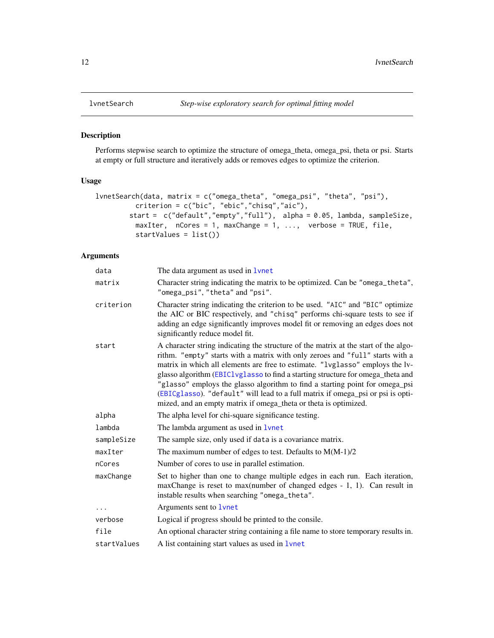<span id="page-11-1"></span><span id="page-11-0"></span>

#### Description

Performs stepwise search to optimize the structure of omega\_theta, omega\_psi, theta or psi. Starts at empty or full structure and iteratively adds or removes edges to optimize the criterion.

## Usage

```
lvnetSearch(data, matrix = c("omega_theta", "omega_psi", "theta", "psi"),
         criterion = c("bic", "ebic","chisq","aic"),
        start = c("default","empty","full"), alpha = 0.05, lambda, sampleSize,
         maxIter, nCores = 1, maxChange = 1, ..., verbose = TRUE, file,
         startValues = list())
```
## Arguments

| data        | The data argument as used in 1vnet                                                                                                                                                                                                                                                                                                                                                                                                                                                                                                                                              |
|-------------|---------------------------------------------------------------------------------------------------------------------------------------------------------------------------------------------------------------------------------------------------------------------------------------------------------------------------------------------------------------------------------------------------------------------------------------------------------------------------------------------------------------------------------------------------------------------------------|
| matrix      | Character string indicating the matrix to be optimized. Can be "omega_theta",<br>"omega_psi", "theta" and "psi".                                                                                                                                                                                                                                                                                                                                                                                                                                                                |
| criterion   | Character string indicating the criterion to be used. "AIC" and "BIC" optimize<br>the AIC or BIC respectively, and "chisq" performs chi-square tests to see if<br>adding an edge significantly improves model fit or removing an edges does not<br>significantly reduce model fit.                                                                                                                                                                                                                                                                                              |
| start       | A character string indicating the structure of the matrix at the start of the algo-<br>rithm. "empty" starts with a matrix with only zeroes and "full" starts with a<br>matrix in which all elements are free to estimate. "lvglasso" employs the lv-<br>glasso algorithm (EBIClvglasso to find a starting structure for omega_theta and<br>"glasso" employs the glasso algorithm to find a starting point for omega_psi<br>(EBICglasso). "default" will lead to a full matrix if omega_psi or psi is opti-<br>mized, and an empty matrix if omega_theta or theta is optimized. |
| alpha       | The alpha level for chi-square significance testing.                                                                                                                                                                                                                                                                                                                                                                                                                                                                                                                            |
| lambda      | The lambda argument as used in lynet                                                                                                                                                                                                                                                                                                                                                                                                                                                                                                                                            |
| sampleSize  | The sample size, only used if data is a covariance matrix.                                                                                                                                                                                                                                                                                                                                                                                                                                                                                                                      |
| maxIter     | The maximum number of edges to test. Defaults to $M(M-1)/2$                                                                                                                                                                                                                                                                                                                                                                                                                                                                                                                     |
| nCores      | Number of cores to use in parallel estimation.                                                                                                                                                                                                                                                                                                                                                                                                                                                                                                                                  |
| maxChange   | Set to higher than one to change multiple edges in each run. Each iteration,<br>maxChange is reset to max(number of changed edges - 1, 1). Can result in<br>instable results when searching "omega_theta".                                                                                                                                                                                                                                                                                                                                                                      |
| $\cdots$    | Arguments sent to 1vnet                                                                                                                                                                                                                                                                                                                                                                                                                                                                                                                                                         |
| verbose     | Logical if progress should be printed to the consile.                                                                                                                                                                                                                                                                                                                                                                                                                                                                                                                           |
| file        | An optional character string containing a file name to store temporary results in.                                                                                                                                                                                                                                                                                                                                                                                                                                                                                              |
| startValues | A list containing start values as used in lynet                                                                                                                                                                                                                                                                                                                                                                                                                                                                                                                                 |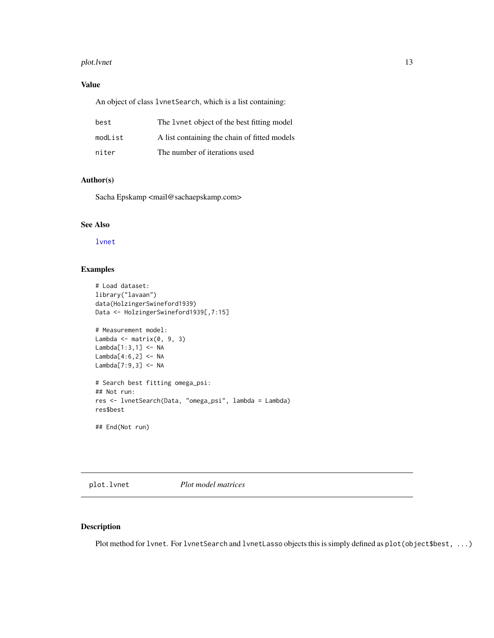#### <span id="page-12-0"></span>plot.lynet that the contract of the contract of the contract of the contract of the contract of the contract of the contract of the contract of the contract of the contract of the contract of the contract of the contract o

## Value

An object of class lvnetSearch, which is a list containing:

| best    | The 1 vnet object of the best fitting model  |
|---------|----------------------------------------------|
| modList | A list containing the chain of fitted models |
| niter   | The number of iterations used                |

## Author(s)

Sacha Epskamp <mail@sachaepskamp.com>

#### See Also

[lvnet](#page-5-1)

## Examples

```
# Load dataset:
library("lavaan")
data(HolzingerSwineford1939)
Data <- HolzingerSwineford1939[,7:15]
# Measurement model:
Lambda \leq matrix(0, 9, 3)
Lambda[1:3,1] <- NA
Lambda[4:6,2] <- NA
Lambda[7:9,3] <- NA
# Search best fitting omega_psi:
## Not run:
res <- lvnetSearch(Data, "omega_psi", lambda = Lambda)
res$best
```
## End(Not run)

plot.lvnet *Plot model matrices*

## Description

Plot method for lvnet. For lvnetSearch and lvnetLasso objects this is simply defined as plot(object\$best, ...)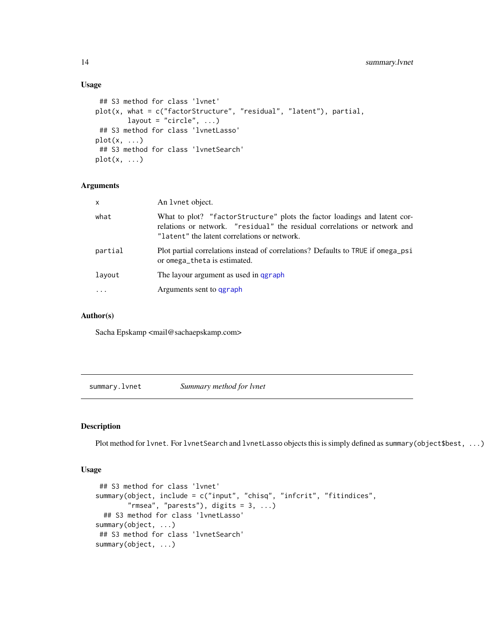## Usage

```
## S3 method for class 'lvnet'
plot(x, what = c("factorStructure", "residual", "latent"), partial,
        layout = "circle", \ldots)
## S3 method for class 'lvnetLasso'
plot(x, \ldots)## S3 method for class 'lvnetSearch'
plot(x, \ldots)
```
## Arguments

| $\mathsf{x}$ | An 1 vnet object.                                                                                                                                                                                      |
|--------------|--------------------------------------------------------------------------------------------------------------------------------------------------------------------------------------------------------|
| what         | What to plot? "factorStructure" plots the factor loadings and latent cor-<br>relations or network. "residual" the residual correlations or network and<br>"latent" the latent correlations or network. |
| partial      | Plot partial correlations instead of correlations? Defaults to TRUE if omega_psi<br>or omega_theta is estimated.                                                                                       |
| layout       | The layour argument as used in garaph                                                                                                                                                                  |
|              | Arguments sent to garaph                                                                                                                                                                               |

## Author(s)

Sacha Epskamp <mail@sachaepskamp.com>

summary.lvnet *Summary method for lvnet*

#### Description

Plot method for lvnet. For lvnetSearch and lvnetLasso objects this is simply defined as summary(object\$best, ...)

#### Usage

```
## S3 method for class 'lvnet'
summary(object, include = c("input", "chisq", "infcrit", "fitindices",
        "rmsea", "parests"), digits = 3, ...)
 ## S3 method for class 'lvnetLasso'
summary(object, ...)
## S3 method for class 'lvnetSearch'
summary(object, ...)
```
<span id="page-13-0"></span>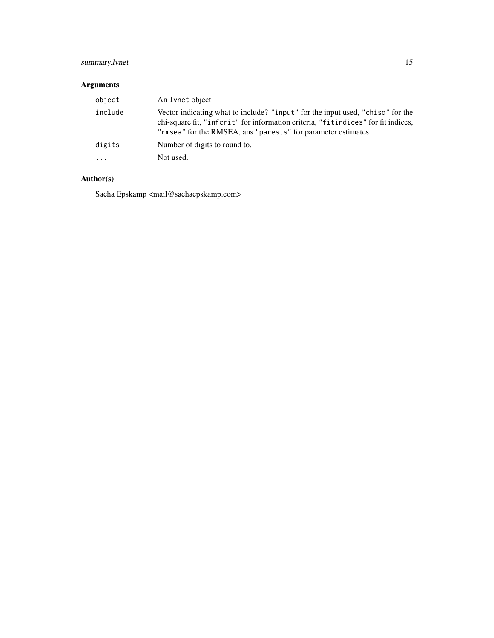## summary.lvnet 15

## Arguments

| object   | An 1 vnet object                                                                                                                                                                                                                     |
|----------|--------------------------------------------------------------------------------------------------------------------------------------------------------------------------------------------------------------------------------------|
| include  | Vector indicating what to include? "input" for the input used, "chisq" for the<br>chi-square fit, "infcrit" for information criteria, "fitindices" for fit indices,<br>"rmsea" for the RMSEA, ans "parests" for parameter estimates. |
| digits   | Number of digits to round to.                                                                                                                                                                                                        |
| $\cdots$ | Not used.                                                                                                                                                                                                                            |

## Author(s)

Sacha Epskamp <mail@sachaepskamp.com>